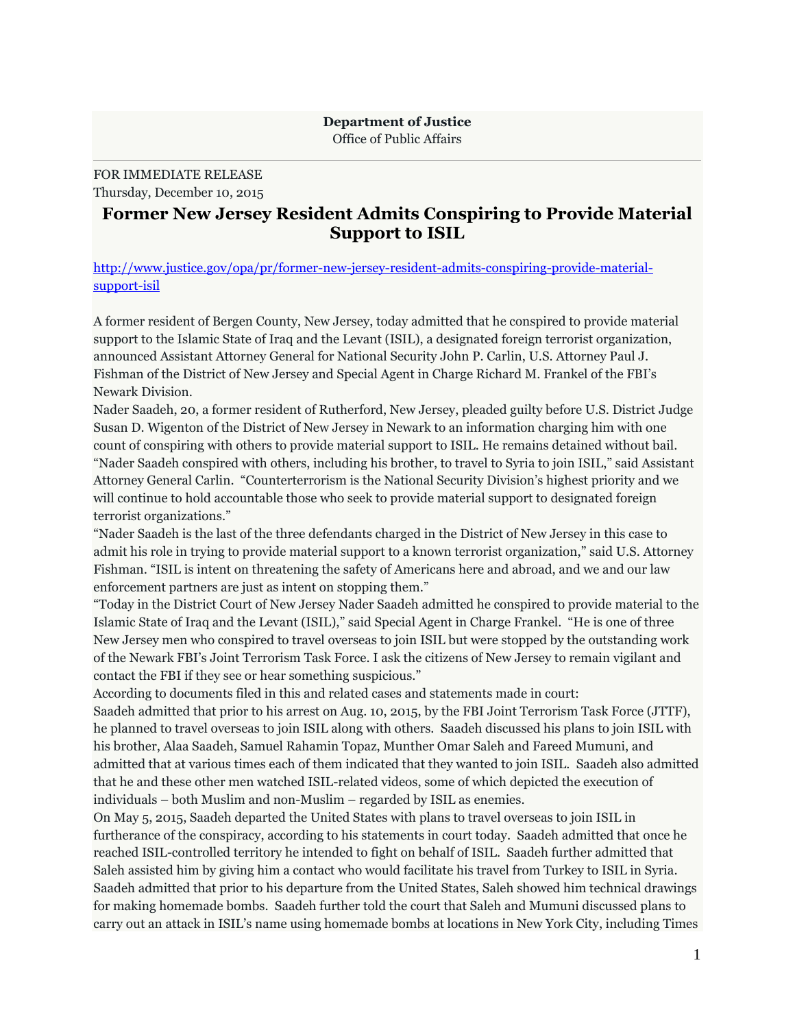## **Department of Justice** Office of Public Affairs

FOR IMMEDIATE RELEASE Thursday, December 10, 2015

## **Former New Jersey Resident Admits Conspiring to Provide Material Support to ISIL**

[http://www.justice.gov/opa/pr/former-new-jersey-resident-admits-conspiring-provide-material](http://www.justice.gov/opa/pr/former-new-jersey-resident-admits-conspiring-provide-material-support-isil)[support-isil](http://www.justice.gov/opa/pr/former-new-jersey-resident-admits-conspiring-provide-material-support-isil)

A former resident of Bergen County, New Jersey, today admitted that he conspired to provide material support to the Islamic State of Iraq and the Levant (ISIL), a designated foreign terrorist organization, announced Assistant Attorney General for National Security John P. Carlin, U.S. Attorney Paul J. Fishman of the District of New Jersey and Special Agent in Charge Richard M. Frankel of the FBI's Newark Division.

Nader Saadeh, 20, a former resident of Rutherford, New Jersey, pleaded guilty before U.S. District Judge Susan D. Wigenton of the District of New Jersey in Newark to an information charging him with one count of conspiring with others to provide material support to ISIL. He remains detained without bail. "Nader Saadeh conspired with others, including his brother, to travel to Syria to join ISIL," said Assistant Attorney General Carlin. "Counterterrorism is the National Security Division's highest priority and we will continue to hold accountable those who seek to provide material support to designated foreign terrorist organizations."

"Nader Saadeh is the last of the three defendants charged in the District of New Jersey in this case to admit his role in trying to provide material support to a known terrorist organization," said U.S. Attorney Fishman. "ISIL is intent on threatening the safety of Americans here and abroad, and we and our law enforcement partners are just as intent on stopping them."

"Today in the District Court of New Jersey Nader Saadeh admitted he conspired to provide material to the Islamic State of Iraq and the Levant (ISIL)," said Special Agent in Charge Frankel. "He is one of three New Jersey men who conspired to travel overseas to join ISIL but were stopped by the outstanding work of the Newark FBI's Joint Terrorism Task Force. I ask the citizens of New Jersey to remain vigilant and contact the FBI if they see or hear something suspicious."

According to documents filed in this and related cases and statements made in court:

Saadeh admitted that prior to his arrest on Aug. 10, 2015, by the FBI Joint Terrorism Task Force (JTTF), he planned to travel overseas to join ISIL along with others. Saadeh discussed his plans to join ISIL with his brother, Alaa Saadeh, Samuel Rahamin Topaz, Munther Omar Saleh and Fareed Mumuni, and admitted that at various times each of them indicated that they wanted to join ISIL. Saadeh also admitted that he and these other men watched ISIL-related videos, some of which depicted the execution of individuals – both Muslim and non-Muslim – regarded by ISIL as enemies.

On May 5, 2015, Saadeh departed the United States with plans to travel overseas to join ISIL in furtherance of the conspiracy, according to his statements in court today. Saadeh admitted that once he reached ISIL-controlled territory he intended to fight on behalf of ISIL. Saadeh further admitted that Saleh assisted him by giving him a contact who would facilitate his travel from Turkey to ISIL in Syria. Saadeh admitted that prior to his departure from the United States, Saleh showed him technical drawings for making homemade bombs. Saadeh further told the court that Saleh and Mumuni discussed plans to carry out an attack in ISIL's name using homemade bombs at locations in New York City, including Times